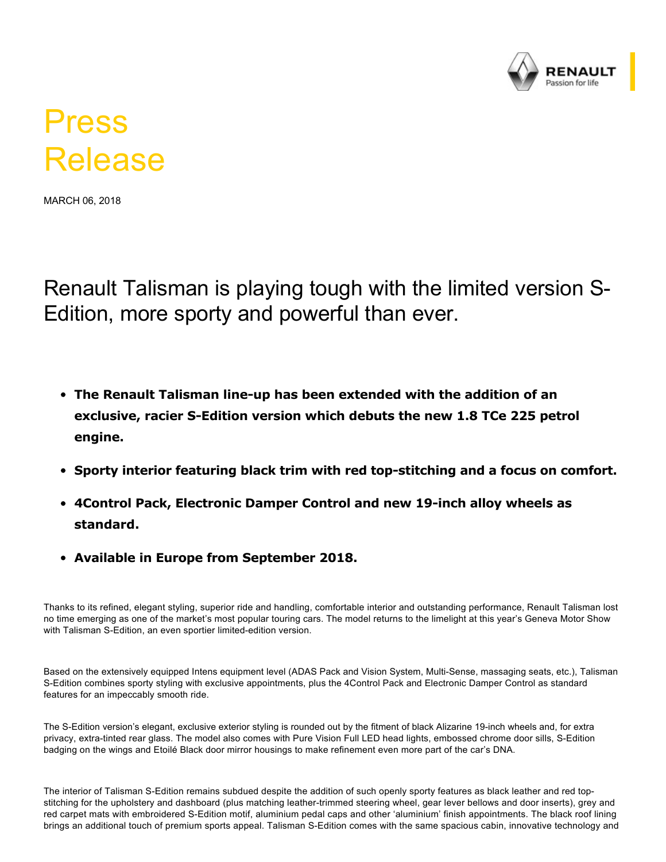

## Press Release

MARCH 06, 2018

Renault Talisman is playing tough with the limited version S-Edition, more sporty and powerful than ever.

- **The Renault Talisman line-up has been extended with the addition of an** exclusive, racier S-Edition version which debuts the new 1.8 TCe 225 petrol **engine.**
- **Sporty interior featuring black trim with red top-stitching and a focus on comfort.**
- **4Control Pack, Electronic Damper Control and new 19-inch alloy wheels as standard.**
- **Available in Europe from September 2018.**

Thanks to its refined, elegant styling, superior ride and handling, comfortable interior and outstanding performance, Renault Talisman lost no time emerging as one of the market's most popular touring cars. The model returns to the limelight at this year's Geneva Motor Show with Talisman S-Edition, an even sportier limited-edition version.

Based on the extensively equipped Intens equipment level (ADAS Pack and Vision System, Multi-Sense, massaging seats, etc.), Talisman SEdition combines sporty styling with exclusive appointments, plus the 4Control Pack and Electronic Damper Control as standard features for an impeccably smooth ride.

The S-Edition version's elegant, exclusive exterior styling is rounded out by the fitment of black Alizarine 19-inch wheels and, for extra privacy, extra-tinted rear glass. The model also comes with Pure Vision Full LED head lights, embossed chrome door sills, S-Edition badging on the wings and Etoilé Black door mirror housings to make refinement even more part of the car's DNA.

The interior of Talisman SEdition remains subdued despite the addition of such openly sporty features as black leather and red topstitching for the upholstery and dashboard (plus matching leather-trimmed steering wheel, gear lever bellows and door inserts), grey and red carpet mats with embroidered SEdition motif, aluminium pedal caps and other 'aluminium' finish appointments. The black roof lining brings an additional touch of premium sports appeal. Talisman S-Edition comes with the same spacious cabin, innovative technology and